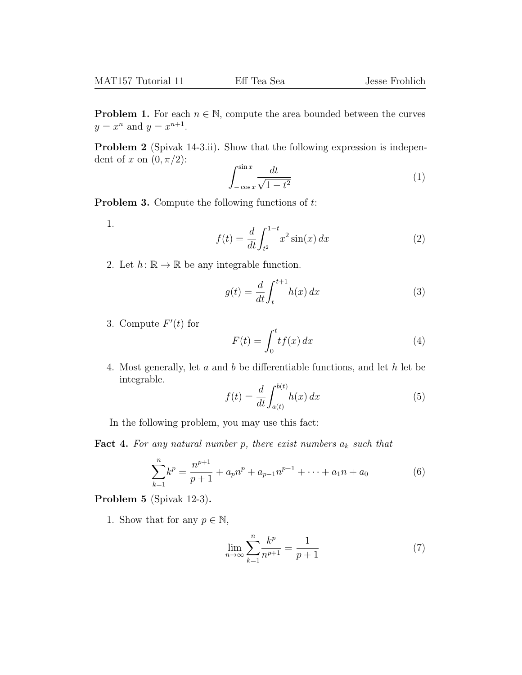**Problem 1.** For each  $n \in \mathbb{N}$ , compute the area bounded between the curves  $y = x^n$  and  $y = x^{n+1}$ .

Problem 2 (Spivak 14-3.ii). Show that the following expression is independent of x on  $(0, \pi/2)$ :

$$
\int_{-\cos x}^{\sin x} \frac{dt}{\sqrt{1 - t^2}} \tag{1}
$$

**Problem 3.** Compute the following functions of  $t$ :

1.

$$
f(t) = \frac{d}{dt} \int_{t^2}^{1-t} x^2 \sin(x) \, dx \tag{2}
$$

2. Let  $h: \mathbb{R} \to \mathbb{R}$  be any integrable function.

$$
g(t) = \frac{d}{dt} \int_{t}^{t+1} h(x) dx
$$
 (3)

3. Compute  $F'(t)$  for

$$
F(t) = \int_0^t t f(x) dx
$$
 (4)

4. Most generally, let a and b be differentiable functions, and let h let be integrable.

$$
f(t) = \frac{d}{dt} \int_{a(t)}^{b(t)} h(x) dx
$$
 (5)

In the following problem, you may use this fact:

**Fact 4.** For any natural number p, there exist numbers  $a_k$  such that

$$
\sum_{k=1}^{n} k^{p} = \frac{n^{p+1}}{p+1} + a_{p}n^{p} + a_{p-1}n^{p-1} + \dots + a_{1}n + a_{0}
$$
 (6)

Problem 5 (Spivak 12-3).

1. Show that for any  $p \in \mathbb{N}$ ,

$$
\lim_{n \to \infty} \sum_{k=1}^{n} \frac{k^p}{n^{p+1}} = \frac{1}{p+1}
$$
 (7)